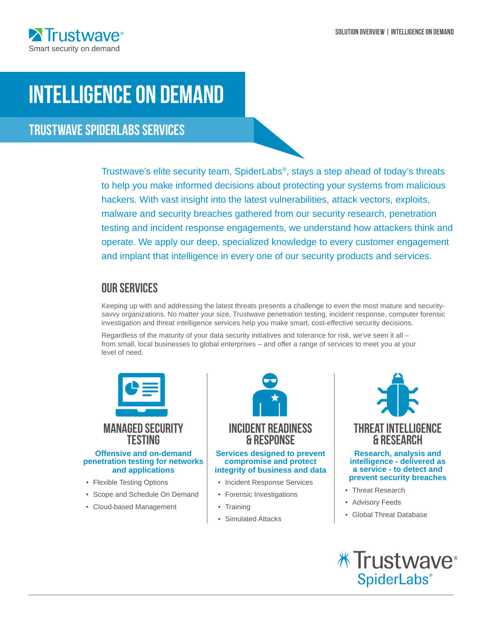

# Intelligence on Demand

Trustwave SpiderLabs Services

Trustwave's elite security team, SpiderLabs®, stays a step ahead of today's threats to help you make informed decisions about protecting your systems from malicious hackers. With vast insight into the latest vulnerabilities, attack vectors, exploits, malware and security breaches gathered from our security research, penetration testing and incident response engagements, we understand how attackers think and operate. We apply our deep, specialized knowledge to every customer engagement and implant that intelligence in every one of our security products and services.

# Our Services

Keeping up with and addressing the latest threats presents a challenge to even the most mature and securitysavvy organizations. No matter your size, Trustwave penetration testing, incident response, computer forensic investigation and threat intelligence services help you make smart, cost-effective security decisions.

Regardless of the maturity of your data security initiatives and tolerance for risk, we've seen it all – from small, local businesses to global enterprises – and offer a range of services to meet you at your level of need.



# MANAGED SECURITY **TESTING**

#### **Offensive and on-demand penetration testing for networks and applications**

- Flexible Testing Options
- Scope and Schedule On Demand
- Cloud-based Management



## **Services designed to prevent compromise and protect integrity of business and data**

- Incident Response Services
- Forensic Investigations
- **Training**
- Simulated Attacks



## **intelligence - delivered as a service - to detect and prevent security breaches**

- Threat Research
- Advisory Feeds
- Global Threat Database